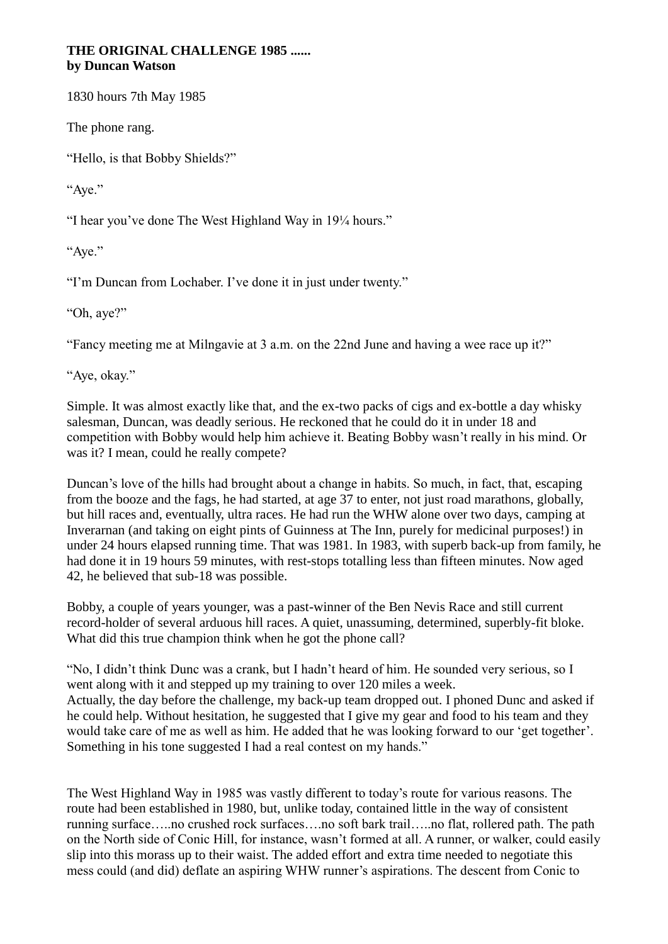## **THE ORIGINAL CHALLENGE 1985 ...... by Duncan Watson**

1830 hours 7th May 1985

The phone rang.

"Hello, is that Bobby Shields?"

"Aye."

"I hear you've done The West Highland Way in 19¼ hours."

"Aye."

"I'm Duncan from Lochaber. I've done it in just under twenty."

"Oh, aye?"

"Fancy meeting me at Milngavie at 3 a.m. on the 22nd June and having a wee race up it?"

"Aye, okay."

Simple. It was almost exactly like that, and the ex-two packs of cigs and ex-bottle a day whisky salesman, Duncan, was deadly serious. He reckoned that he could do it in under 18 and competition with Bobby would help him achieve it. Beating Bobby wasn't really in his mind. Or was it? I mean, could he really compete?

Duncan's love of the hills had brought about a change in habits. So much, in fact, that, escaping from the booze and the fags, he had started, at age 37 to enter, not just road marathons, globally, but hill races and, eventually, ultra races. He had run the WHW alone over two days, camping at Inverarnan (and taking on eight pints of Guinness at The Inn, purely for medicinal purposes!) in under 24 hours elapsed running time. That was 1981. In 1983, with superb back-up from family, he had done it in 19 hours 59 minutes, with rest-stops totalling less than fifteen minutes. Now aged 42, he believed that sub-18 was possible.

Bobby, a couple of years younger, was a past-winner of the Ben Nevis Race and still current record-holder of several arduous hill races. A quiet, unassuming, determined, superbly-fit bloke. What did this true champion think when he got the phone call?

"No, I didn't think Dunc was a crank, but I hadn't heard of him. He sounded very serious, so I went along with it and stepped up my training to over 120 miles a week. Actually, the day before the challenge, my back-up team dropped out. I phoned Dunc and asked if he could help. Without hesitation, he suggested that I give my gear and food to his team and they would take care of me as well as him. He added that he was looking forward to our 'get together'. Something in his tone suggested I had a real contest on my hands."

The West Highland Way in 1985 was vastly different to today's route for various reasons. The route had been established in 1980, but, unlike today, contained little in the way of consistent running surface…..no crushed rock surfaces….no soft bark trail…..no flat, rollered path. The path on the North side of Conic Hill, for instance, wasn't formed at all. A runner, or walker, could easily slip into this morass up to their waist. The added effort and extra time needed to negotiate this mess could (and did) deflate an aspiring WHW runner's aspirations. The descent from Conic to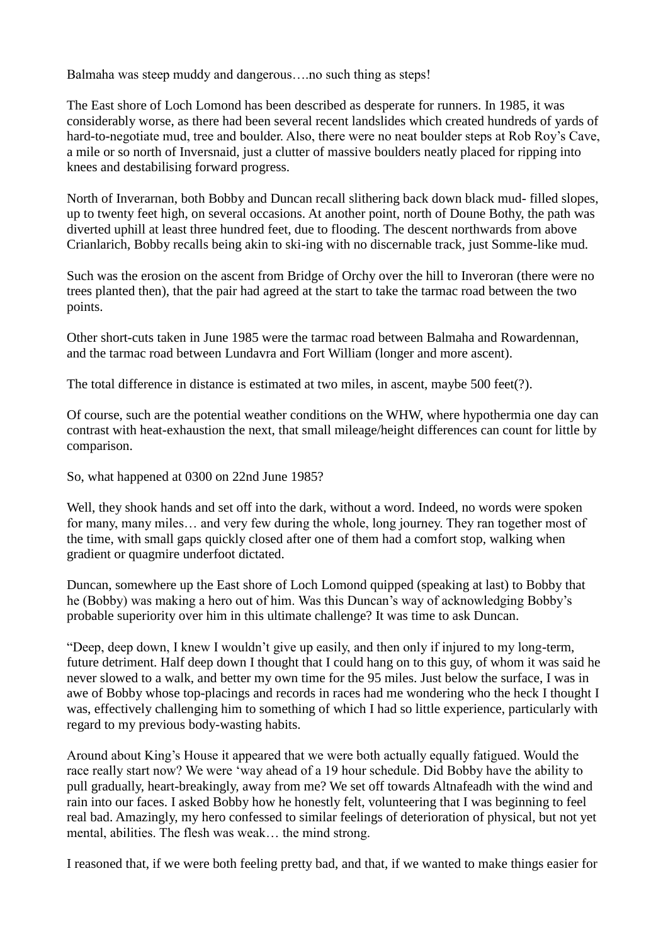Balmaha was steep muddy and dangerous....no such thing as steps!

The East shore of Loch Lomond has been described as desperate for runners. In 1985, it was considerably worse, as there had been several recent landslides which created hundreds of yards of hard-to-negotiate mud, tree and boulder. Also, there were no neat boulder steps at Rob Roy's Cave, a mile or so north of Inversnaid, just a clutter of massive boulders neatly placed for ripping into knees and destabilising forward progress.

North of Inverarnan, both Bobby and Duncan recall slithering back down black mud- filled slopes, up to twenty feet high, on several occasions. At another point, north of Doune Bothy, the path was diverted uphill at least three hundred feet, due to flooding. The descent northwards from above Crianlarich, Bobby recalls being akin to ski-ing with no discernable track, just Somme-like mud.

Such was the erosion on the ascent from Bridge of Orchy over the hill to Inveroran (there were no trees planted then), that the pair had agreed at the start to take the tarmac road between the two points.

Other short-cuts taken in June 1985 were the tarmac road between Balmaha and Rowardennan, and the tarmac road between Lundavra and Fort William (longer and more ascent).

The total difference in distance is estimated at two miles, in ascent, maybe 500 feet(?).

Of course, such are the potential weather conditions on the WHW, where hypothermia one day can contrast with heat-exhaustion the next, that small mileage/height differences can count for little by comparison.

So, what happened at 0300 on 22nd June 1985?

Well, they shook hands and set off into the dark, without a word. Indeed, no words were spoken for many, many miles… and very few during the whole, long journey. They ran together most of the time, with small gaps quickly closed after one of them had a comfort stop, walking when gradient or quagmire underfoot dictated.

Duncan, somewhere up the East shore of Loch Lomond quipped (speaking at last) to Bobby that he (Bobby) was making a hero out of him. Was this Duncan's way of acknowledging Bobby's probable superiority over him in this ultimate challenge? It was time to ask Duncan.

"Deep, deep down, I knew I wouldn't give up easily, and then only if injured to my long-term, future detriment. Half deep down I thought that I could hang on to this guy, of whom it was said he never slowed to a walk, and better my own time for the 95 miles. Just below the surface, I was in awe of Bobby whose top-placings and records in races had me wondering who the heck I thought I was, effectively challenging him to something of which I had so little experience, particularly with regard to my previous body-wasting habits.

Around about King's House it appeared that we were both actually equally fatigued. Would the race really start now? We were 'way ahead of a 19 hour schedule. Did Bobby have the ability to pull gradually, heart-breakingly, away from me? We set off towards Altnafeadh with the wind and rain into our faces. I asked Bobby how he honestly felt, volunteering that I was beginning to feel real bad. Amazingly, my hero confessed to similar feelings of deterioration of physical, but not yet mental, abilities. The flesh was weak… the mind strong.

I reasoned that, if we were both feeling pretty bad, and that, if we wanted to make things easier for